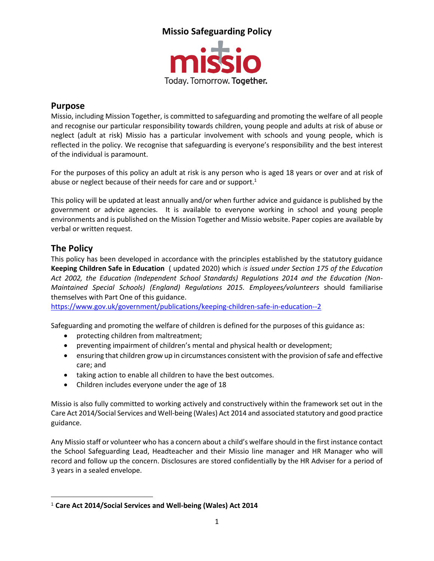

#### **Purpose**

Missio, including Mission Together, is committed to safeguarding and promoting the welfare of all people and recognise our particular responsibility towards children, young people and adults at risk of abuse or neglect (adult at risk) Missio has a particular involvement with schools and young people, which is reflected in the policy. We recognise that safeguarding is everyone's responsibility and the best interest of the individual is paramount.

For the purposes of this policy an adult at risk is any person who is aged 18 years or over and at risk of abuse or neglect because of their needs for care and or support. $1$ 

This policy will be updated at least annually and/or when further advice and guidance is published by the government or advice agencies. It is available to everyone working in school and young people environments and is published on the Mission Together and Missio website. Paper copies are available by verbal or written request.

### **The Policy**

This policy has been developed in accordance with the principles established by the statutory guidance **Keeping Children Safe in Education** ( updated 2020) which *is issued under Section 175 of the Education Act 2002, the Education (Independent School Standards) Regulations 2014 and the Education (Non-Maintained Special Schools) (England) Regulations 2015. Employees/volunteers* should familiarise themselves with Part One of this guidance.

<https://www.gov.uk/government/publications/keeping-children-safe-in-education--2>

Safeguarding and promoting the welfare of children is defined for the purposes of this guidance as:

- protecting children from maltreatment;
- preventing impairment of children's mental and physical health or development;
- ensuring that children grow up in circumstances consistent with the provision of safe and effective care; and
- taking action to enable all children to have the best outcomes.
- Children includes everyone under the age of 18

Missio is also fully committed to working actively and constructively within the framework set out in the Care Act 2014/Social Services and Well-being (Wales) Act 2014 and associated statutory and good practice guidance.

Any Missio staff or volunteer who has a concern about a child's welfare should in the first instance contact the School Safeguarding Lead, Headteacher and their Missio line manager and HR Manager who will record and follow up the concern. Disclosures are stored confidentially by the HR Adviser for a period of 3 years in a sealed envelope.

<sup>1</sup> **Care Act 2014/Social Services and Well-being (Wales) Act 2014**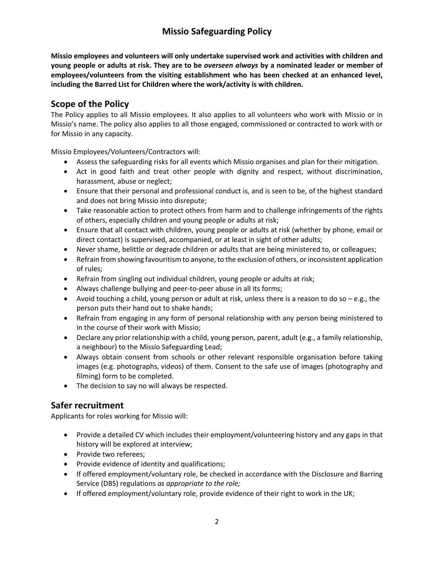**Missio employees and volunteers will only undertake supervised work and activities with children and young people or adults at risk. They are to be** *overseen always* **by a nominated leader or member of employees/volunteers from the visiting establishment who has been checked at an enhanced level, including the Barred List for Children where the work/activity is with children.** 

### **Scope of the Policy**

The Policy applies to all Missio employees. It also applies to all volunteers who work with Missio or in Missio's name. The policy also applies to all those engaged, commissioned or contracted to work with or for Missio in any capacity.

Missio Employees/Volunteers/Contractors will:

- Assess the safeguarding risks for all events which Missio organises and plan for their mitigation.
- Act in good faith and treat other people with dignity and respect, without discrimination, harassment, abuse or neglect;
- Ensure that their personal and professional conduct is, and is seen to be, of the highest standard and does not bring Missio into disrepute;
- Take reasonable action to protect others from harm and to challenge infringements of the rights of others, especially children and young people or adults at risk;
- Ensure that all contact with children, young people or adults at risk (whether by phone, email or direct contact) is supervised, accompanied, or at least in sight of other adults;
- Never shame, belittle or degrade children or adults that are being ministered to, or colleagues;
- Refrain from showing favouritism to anyone, to the exclusion of others, or inconsistent application of rules;
- Refrain from singling out individual children, young people or adults at risk;
- Always challenge bullying and peer-to-peer abuse in all its forms;
- Avoid touching a child, young person or adult at risk, unless there is a reason to do so e.g., the person puts their hand out to shake hands;
- Refrain from engaging in any form of personal relationship with any person being ministered to in the course of their work with Missio;
- Declare any prior relationship with a child, young person, parent, adult (e.g., a family relationship, a neighbour) to the Missio Safeguarding Lead;
- Always obtain consent from schools or other relevant responsible organisation before taking images (e.g. photographs, videos) of them. Consent to the safe use of images (photography and filming) form to be completed.
- The decision to say no will always be respected.

### **Safer recruitment**

Applicants for roles working for Missio will:

- Provide a detailed CV which includes their employment/volunteering history and any gaps in that history will be explored at interview;
- Provide two referees;
- Provide evidence of identity and qualifications;
- If offered employment/voluntary role, be checked in accordance with the Disclosure and Barring Service (DBS) regulations *as appropriate to the role;*
- If offered employment/voluntary role, provide evidence of their right to work in the UK;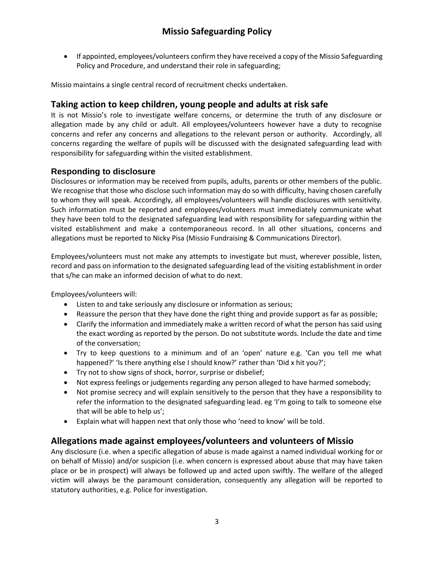• If appointed, employees/volunteers confirm they have received a copy of the Missio Safeguarding Policy and Procedure, and understand their role in safeguarding;

Missio maintains a single central record of recruitment checks undertaken.

### **Taking action to keep children, young people and adults at risk safe**

It is not Missio's role to investigate welfare concerns, or determine the truth of any disclosure or allegation made by any child or adult. All employees/volunteers however have a duty to recognise concerns and refer any concerns and allegations to the relevant person or authority. Accordingly, all concerns regarding the welfare of pupils will be discussed with the designated safeguarding lead with responsibility for safeguarding within the visited establishment.

#### **Responding to disclosure**

Disclosures or information may be received from pupils, adults, parents or other members of the public. We recognise that those who disclose such information may do so with difficulty, having chosen carefully to whom they will speak. Accordingly, all employees/volunteers will handle disclosures with sensitivity. Such information must be reported and employees/volunteers must immediately communicate what they have been told to the designated safeguarding lead with responsibility for safeguarding within the visited establishment and make a contemporaneous record. In all other situations, concerns and allegations must be reported to Nicky Pisa (Missio Fundraising & Communications Director).

Employees/volunteers must not make any attempts to investigate but must, wherever possible, listen, record and pass on information to the designated safeguarding lead of the visiting establishment in order that s/he can make an informed decision of what to do next.

Employees/volunteers will:

- Listen to and take seriously any disclosure or information as serious;
- Reassure the person that they have done the right thing and provide support as far as possible;
- Clarify the information and immediately make a written record of what the person has said using the exact wording as reported by the person. Do not substitute words. Include the date and time of the conversation;
- Try to keep questions to a minimum and of an 'open' nature e.g. 'Can you tell me what happened?' 'Is there anything else I should know?' rather than 'Did x hit you?';
- Try not to show signs of shock, horror, surprise or disbelief;
- Not express feelings or judgements regarding any person alleged to have harmed somebody;
- Not promise secrecy and will explain sensitively to the person that they have a responsibility to refer the information to the designated safeguarding lead. eg 'I'm going to talk to someone else that will be able to help us';
- Explain what will happen next that only those who 'need to know' will be told.

#### **Allegations made against employees/volunteers and volunteers of Missio**

Any disclosure (i.e. when a specific allegation of abuse is made against a named individual working for or on behalf of Missio) and/or suspicion (i.e. when concern is expressed about abuse that may have taken place or be in prospect) will always be followed up and acted upon swiftly. The welfare of the alleged victim will always be the paramount consideration, consequently any allegation will be reported to statutory authorities, e.g. Police for investigation.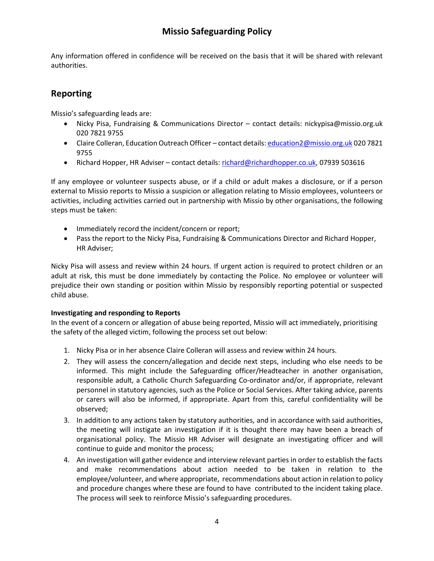Any information offered in confidence will be received on the basis that it will be shared with relevant authorities.

### **Reporting**

Missio's safeguarding leads are:

- Nicky Pisa, Fundraising & Communications Director contact details: nickypisa@missio.org.uk 020 7821 9755
- Claire Colleran, Education Outreach Officer contact details[: education2@missio.org.uk](mailto:education2@missio.org.uk) 020 7821 9755
- Richard Hopper, HR Adviser contact details: [richard@richardhopper.co.uk,](mailto:richard@richardhopper.co.uk) 07939 503616

If any employee or volunteer suspects abuse, or if a child or adult makes a disclosure, or if a person external to Missio reports to Missio a suspicion or allegation relating to Missio employees, volunteers or activities, including activities carried out in partnership with Missio by other organisations, the following steps must be taken:

- Immediately record the incident/concern or report;
- Pass the report to the Nicky Pisa, Fundraising & Communications Director and Richard Hopper, HR Adviser;

Nicky Pisa will assess and review within 24 hours. If urgent action is required to protect children or an adult at risk, this must be done immediately by contacting the Police. No employee or volunteer will prejudice their own standing or position within Missio by responsibly reporting potential or suspected child abuse.

#### **Investigating and responding to Reports**

In the event of a concern or allegation of abuse being reported, Missio will act immediately, prioritising the safety of the alleged victim, following the process set out below:

- 1. Nicky Pisa or in her absence Claire Colleran will assess and review within 24 hours.
- 2. They will assess the concern/allegation and decide next steps, including who else needs to be informed. This might include the Safeguarding officer/Headteacher in another organisation, responsible adult, a Catholic Church Safeguarding Co-ordinator and/or, if appropriate, relevant personnel in statutory agencies, such as the Police or Social Services. After taking advice, parents or carers will also be informed, if appropriate. Apart from this, careful confidentiality will be observed;
- 3. In addition to any actions taken by statutory authorities, and in accordance with said authorities, the meeting will instigate an investigation if it is thought there may have been a breach of organisational policy. The Missio HR Adviser will designate an investigating officer and will continue to guide and monitor the process;
- 4. An investigation will gather evidence and interview relevant parties in order to establish the facts and make recommendations about action needed to be taken in relation to the employee/volunteer, and where appropriate, recommendations about action in relation to policy and procedure changes where these are found to have contributed to the incident taking place. The process will seek to reinforce Missio's safeguarding procedures.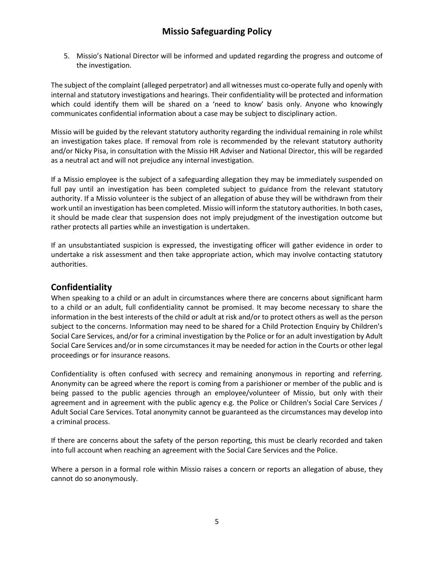5. Missio's National Director will be informed and updated regarding the progress and outcome of the investigation.

The subject of the complaint (alleged perpetrator) and all witnesses must co-operate fully and openly with internal and statutory investigations and hearings. Their confidentiality will be protected and information which could identify them will be shared on a 'need to know' basis only. Anyone who knowingly communicates confidential information about a case may be subject to disciplinary action.

Missio will be guided by the relevant statutory authority regarding the individual remaining in role whilst an investigation takes place. If removal from role is recommended by the relevant statutory authority and/or Nicky Pisa, in consultation with the Missio HR Adviser and National Director, this will be regarded as a neutral act and will not prejudice any internal investigation.

If a Missio employee is the subject of a safeguarding allegation they may be immediately suspended on full pay until an investigation has been completed subject to guidance from the relevant statutory authority. If a Missio volunteer is the subject of an allegation of abuse they will be withdrawn from their work until an investigation has been completed. Missio will inform the statutory authorities. In both cases, it should be made clear that suspension does not imply prejudgment of the investigation outcome but rather protects all parties while an investigation is undertaken.

If an unsubstantiated suspicion is expressed, the investigating officer will gather evidence in order to undertake a risk assessment and then take appropriate action, which may involve contacting statutory authorities.

#### **Confidentiality**

When speaking to a child or an adult in circumstances where there are concerns about significant harm to a child or an adult, full confidentiality cannot be promised. It may become necessary to share the information in the best interests of the child or adult at risk and/or to protect others as well as the person subject to the concerns. Information may need to be shared for a Child Protection Enquiry by Children's Social Care Services, and/or for a criminal investigation by the Police or for an adult investigation by Adult Social Care Services and/or in some circumstances it may be needed for action in the Courts or other legal proceedings or for insurance reasons.

Confidentiality is often confused with secrecy and remaining anonymous in reporting and referring. Anonymity can be agreed where the report is coming from a parishioner or member of the public and is being passed to the public agencies through an employee/volunteer of Missio, but only with their agreement and in agreement with the public agency e.g. the Police or Children's Social Care Services / Adult Social Care Services. Total anonymity cannot be guaranteed as the circumstances may develop into a criminal process.

If there are concerns about the safety of the person reporting, this must be clearly recorded and taken into full account when reaching an agreement with the Social Care Services and the Police.

Where a person in a formal role within Missio raises a concern or reports an allegation of abuse, they cannot do so anonymously.